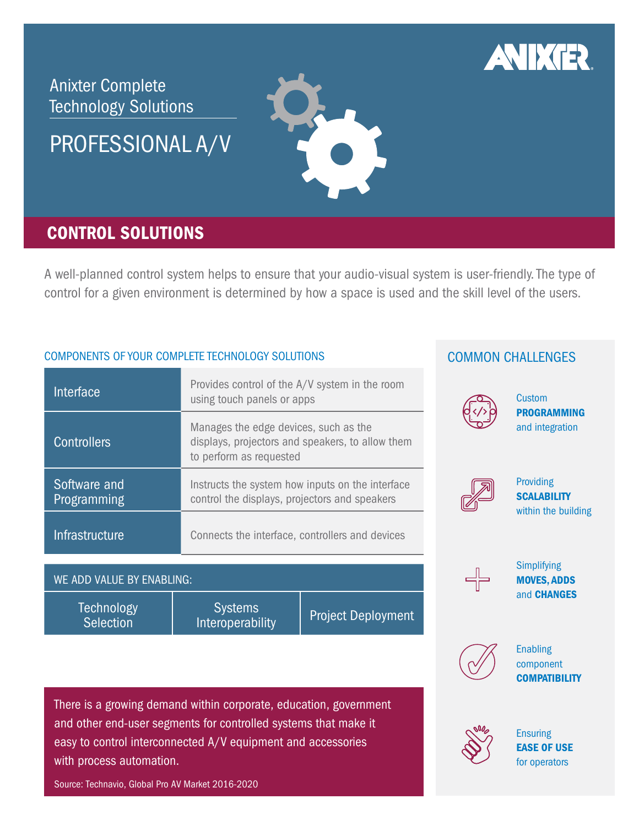

Integration and networking Ease of use

Collaboration and conferencing

Component compatibility

Security 1996

# Anixter Complete Technology Solutions

PROFESSIONAL A/V

## CONTROL SOLUTIONS

A well-planned control system helps to ensure that your audio-visual system is user-friendly. The type of control for a given environment is determined by how a space is used and the skill level of the users.

Budget in der Stadt und der Stadt und der Stadt und der Stadt und der Stadt und der Stadt und der Stadt und de<br>Budget der Stadt und der Stadt und der Stadt und der Stadt und der Stadt und der Stadt und der Stadt und der S

# COMPONENTS OF YOUR COMPLETE TECHNOLOGY SOLUTIONS COMMON CHALLENGES

| Interface                             | Provides control of the A/V system in the room<br>using touch panels or apps                                         |                           | Cus                               |
|---------------------------------------|----------------------------------------------------------------------------------------------------------------------|---------------------------|-----------------------------------|
| <b>Controllers</b>                    | Manages the edge devices, such as the<br>displays, projectors and speakers, to allow them<br>to perform as requested |                           | <b>PRC</b><br>and                 |
| Software and<br>Programming           | Instructs the system how inputs on the interface<br>control the displays, projectors and speakers                    |                           | <b>Prov</b><br><b>SCA</b><br>with |
| <b>Infrastructure</b>                 | Connects the interface, controllers and devices                                                                      |                           |                                   |
| WE ADD VALUE BY ENABLING:             |                                                                                                                      |                           | Sim<br><b>MO</b>                  |
| <b>Technology</b><br><b>Selection</b> | <b>Systems</b><br>Interoperability                                                                                   | <b>Project Deployment</b> | and                               |

There is a growing demand within corporate, education, government and other end-user segments for controlled systems that make it easy to control interconnected A/V equipment and accessories with process automation. Integration East of Use of Use of Use of Use of Use of Use of Use of Use of Use of Use of Use of Use of Use of

Source: Technavio, Global Pro AV Market 2016-2020

# COMMON CUM



Component compatibility

**Custom** PROGRAMMING and integration



Providing **SCALABILITY** within the building



Simplifying MOVES, ADDS and CHANGES  $\overline{p}$  and changes and changes and changes and changes and changes and changes and changes and changes and changes and changes and changes and changes and changes and changes and changes and changes and changes and chan



**Enabling** component **COMPATIBILITY** 



**Ensuring** EASE OF USE for operators